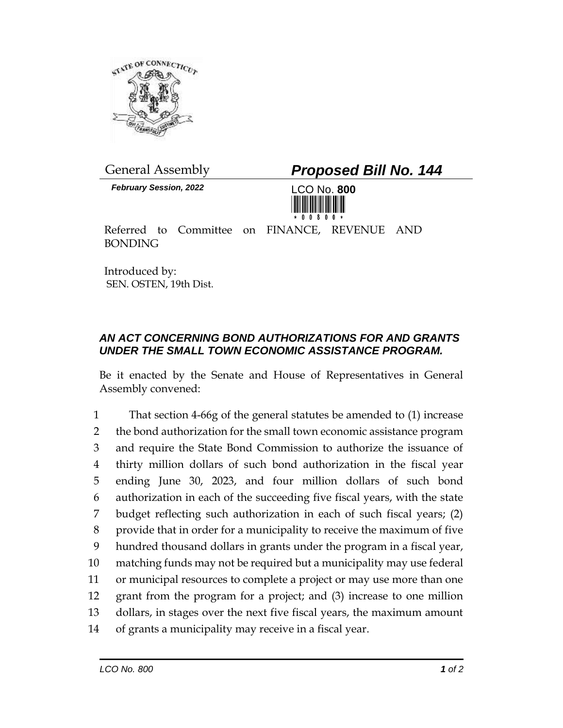

*February Session, 2022* LCO No. **800**

General Assembly *Proposed Bill No. 144*



Referred to Committee on FINANCE, REVENUE AND BONDING

Introduced by: SEN. OSTEN, 19th Dist.

## *AN ACT CONCERNING BOND AUTHORIZATIONS FOR AND GRANTS UNDER THE SMALL TOWN ECONOMIC ASSISTANCE PROGRAM.*

Be it enacted by the Senate and House of Representatives in General Assembly convened:

 That section 4-66g of the general statutes be amended to (1) increase 2 the bond authorization for the small town economic assistance program and require the State Bond Commission to authorize the issuance of thirty million dollars of such bond authorization in the fiscal year ending June 30, 2023, and four million dollars of such bond authorization in each of the succeeding five fiscal years, with the state budget reflecting such authorization in each of such fiscal years; (2) provide that in order for a municipality to receive the maximum of five hundred thousand dollars in grants under the program in a fiscal year, matching funds may not be required but a municipality may use federal or municipal resources to complete a project or may use more than one grant from the program for a project; and (3) increase to one million dollars, in stages over the next five fiscal years, the maximum amount of grants a municipality may receive in a fiscal year.